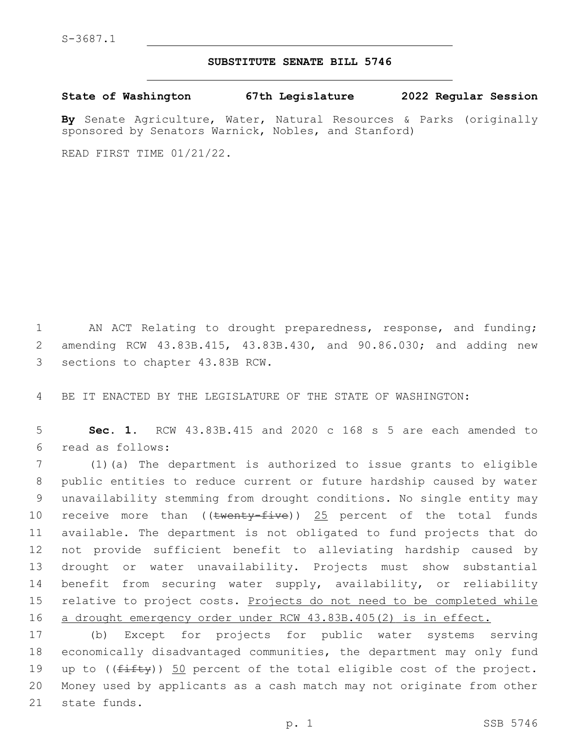## **SUBSTITUTE SENATE BILL 5746**

**State of Washington 67th Legislature 2022 Regular Session**

**By** Senate Agriculture, Water, Natural Resources & Parks (originally sponsored by Senators Warnick, Nobles, and Stanford)

READ FIRST TIME 01/21/22.

1 AN ACT Relating to drought preparedness, response, and funding; 2 amending RCW 43.83B.415, 43.83B.430, and 90.86.030; and adding new 3 sections to chapter 43.83B RCW.

4 BE IT ENACTED BY THE LEGISLATURE OF THE STATE OF WASHINGTON:

5 **Sec. 1.** RCW 43.83B.415 and 2020 c 168 s 5 are each amended to read as follows:6

 (1)(a) The department is authorized to issue grants to eligible public entities to reduce current or future hardship caused by water unavailability stemming from drought conditions. No single entity may 10 receive more than ((twenty-five)) 25 percent of the total funds available. The department is not obligated to fund projects that do not provide sufficient benefit to alleviating hardship caused by drought or water unavailability. Projects must show substantial benefit from securing water supply, availability, or reliability 15 relative to project costs. Projects do not need to be completed while a drought emergency order under RCW 43.83B.405(2) is in effect.

17 (b) Except for projects for public water systems serving 18 economically disadvantaged communities, the department may only fund 19 up to  $((fiff)y)$  50 percent of the total eligible cost of the project. 20 Money used by applicants as a cash match may not originate from other 21 state funds.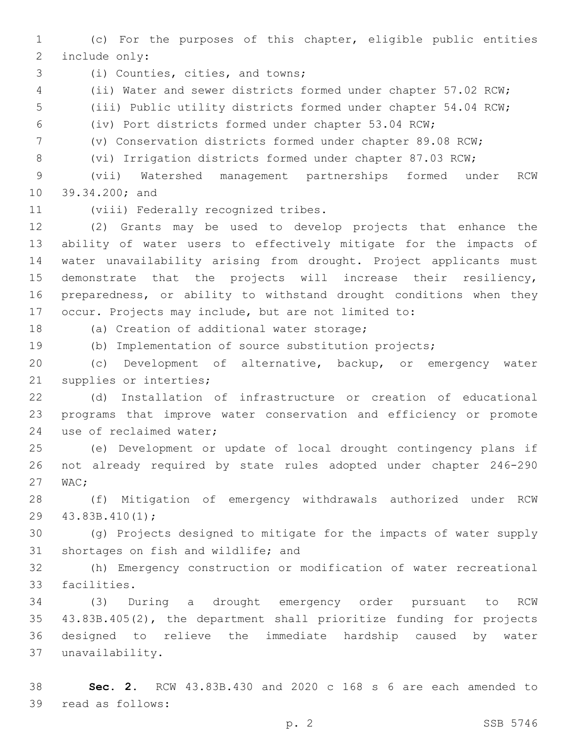(c) For the purposes of this chapter, eligible public entities 2 include only:

3 (i) Counties, cities, and towns;

(ii) Water and sewer districts formed under chapter 57.02 RCW;

(iii) Public utility districts formed under chapter 54.04 RCW;

(iv) Port districts formed under chapter 53.04 RCW;

(v) Conservation districts formed under chapter 89.08 RCW;

(vi) Irrigation districts formed under chapter 87.03 RCW;

 (vii) Watershed management partnerships formed under RCW 10 39.34.200; and

11 (viii) Federally recognized tribes.

 (2) Grants may be used to develop projects that enhance the ability of water users to effectively mitigate for the impacts of water unavailability arising from drought. Project applicants must demonstrate that the projects will increase their resiliency, preparedness, or ability to withstand drought conditions when they occur. Projects may include, but are not limited to:

18 (a) Creation of additional water storage;

(b) Implementation of source substitution projects;

 (c) Development of alternative, backup, or emergency water 21 supplies or interties;

 (d) Installation of infrastructure or creation of educational programs that improve water conservation and efficiency or promote 24 use of reclaimed water;

 (e) Development or update of local drought contingency plans if not already required by state rules adopted under chapter 246-290 27 WAC:

 (f) Mitigation of emergency withdrawals authorized under RCW 29 43.83B.410(1);

 (g) Projects designed to mitigate for the impacts of water supply 31 shortages on fish and wildlife; and

 (h) Emergency construction or modification of water recreational 33 facilities.

 (3) During a drought emergency order pursuant to RCW 43.83B.405(2), the department shall prioritize funding for projects designed to relieve the immediate hardship caused by water unavailability.37

 **Sec. 2.** RCW 43.83B.430 and 2020 c 168 s 6 are each amended to 39 read as follows: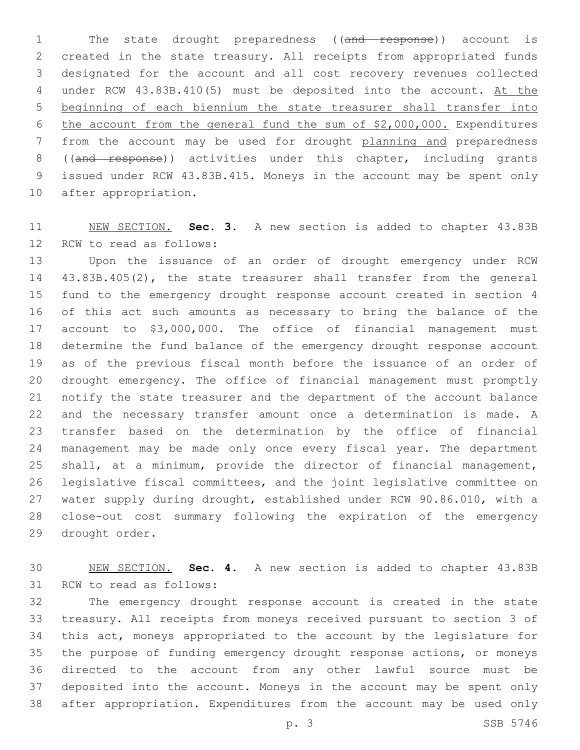1 The state drought preparedness ((and response)) account is created in the state treasury. All receipts from appropriated funds designated for the account and all cost recovery revenues collected 4 under RCW 43.83B.410(5) must be deposited into the account. At the beginning of each biennium the state treasurer shall transfer into the account from the general fund the sum of \$2,000,000. Expenditures from the account may be used for drought planning and preparedness 8 ((and response)) activities under this chapter, including grants issued under RCW 43.83B.415. Moneys in the account may be spent only 10 after appropriation.

 NEW SECTION. **Sec. 3.** A new section is added to chapter 43.83B 12 RCW to read as follows:

 Upon the issuance of an order of drought emergency under RCW 43.83B.405(2), the state treasurer shall transfer from the general fund to the emergency drought response account created in section 4 of this act such amounts as necessary to bring the balance of the account to \$3,000,000. The office of financial management must determine the fund balance of the emergency drought response account as of the previous fiscal month before the issuance of an order of drought emergency. The office of financial management must promptly notify the state treasurer and the department of the account balance and the necessary transfer amount once a determination is made. A transfer based on the determination by the office of financial management may be made only once every fiscal year. The department shall, at a minimum, provide the director of financial management, legislative fiscal committees, and the joint legislative committee on water supply during drought, established under RCW 90.86.010, with a close-out cost summary following the expiration of the emergency 29 drought order.

 NEW SECTION. **Sec. 4.** A new section is added to chapter 43.83B 31 RCW to read as follows:

 The emergency drought response account is created in the state treasury. All receipts from moneys received pursuant to section 3 of this act, moneys appropriated to the account by the legislature for the purpose of funding emergency drought response actions, or moneys directed to the account from any other lawful source must be deposited into the account. Moneys in the account may be spent only after appropriation. Expenditures from the account may be used only